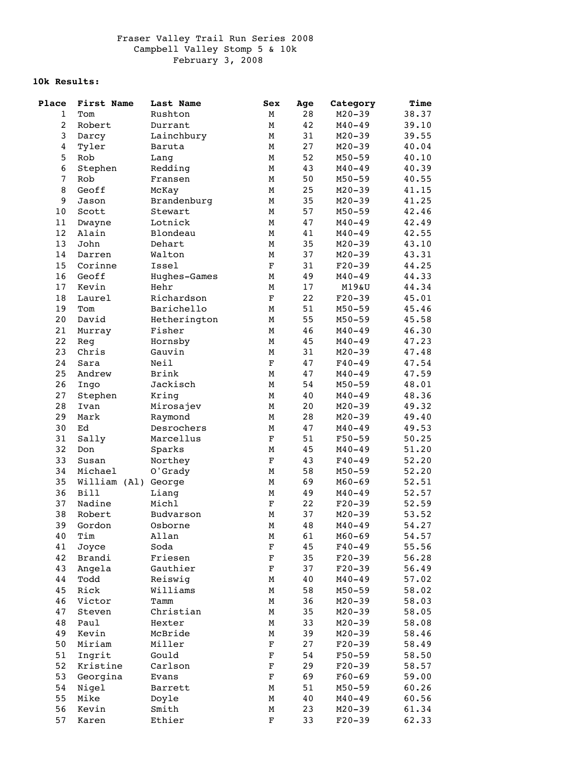## **10k Results:**

| Place          | First Name   | Last Name    | Sex                       | Age | Category   | Time  |
|----------------|--------------|--------------|---------------------------|-----|------------|-------|
| $\mathbf{1}$   | Tom          | Rushton      | М                         | 28  | $M20 - 39$ | 38.37 |
| $\overline{a}$ | Robert       | Durrant      | М                         | 42  | $M40 - 49$ | 39.10 |
| 3              | Darcy        | Lainchbury   | М                         | 31  | $M20 - 39$ | 39.55 |
| 4              | Tyler        | Baruta       | М                         | 27  | $M20 - 39$ | 40.04 |
| 5              | Rob          | Lang         | $\mathop{\rm M}\nolimits$ | 52  | $M50 - 59$ | 40.10 |
| 6              | Stephen      | Redding      | М                         | 43  | $M40 - 49$ | 40.39 |
| $\overline{7}$ | Rob          | Fransen      | $\mathbf M$               | 50  | $M50 - 59$ | 40.55 |
| 8              | Geoff        | McKay        | М                         | 25  | $M20 - 39$ | 41.15 |
| 9              | Jason        | Brandenburg  | М                         | 35  | $M20 - 39$ | 41.25 |
| 10             | Scott        | Stewart      | М                         | 57  | $M50 - 59$ | 42.46 |
| 11             | Dwayne       | Lotnick      | М                         | 47  | $M40 - 49$ | 42.49 |
| 12             | Alain        | Blondeau     | М                         | 41  | $M40 - 49$ | 42.55 |
| 13             | John         | Dehart       | М                         | 35  | $M20 - 39$ | 43.10 |
| 14             | Darren       | Walton       | М                         | 37  | $M20 - 39$ | 43.31 |
| 15             | Corinne      | Issel        | $\mathbf F$               | 31  | $F20-39$   | 44.25 |
| 16             | Geoff        | Hughes-Games | М                         | 49  | $M40 - 49$ | 44.33 |
| 17             | Kevin        | Hehr         | М                         | 17  | M19&U      | 44.34 |
| 18             | Laurel       | Richardson   | $\mathbf F$               | 22  | $F20-39$   | 45.01 |
| 19             | Tom          | Barichello   | М                         | 51  | $M50 - 59$ | 45.46 |
| 20             | David        | Hetherington | М                         | 55  | $M50 - 59$ | 45.58 |
| 21             | Murray       | Fisher       | М                         | 46  | $M40 - 49$ | 46.30 |
| 22             | Reg          | Hornsby      | М                         | 45  | $M40 - 49$ | 47.23 |
| 23             | Christ       | Gauvin       | $\mathbf M$               | 31  | $M20 - 39$ | 47.48 |
| 24             | Sara         | Neil         | $\mathbf F$               | 47  | $F40 - 49$ | 47.54 |
|                |              | <b>Brink</b> |                           |     |            | 47.59 |
| 25             | Andrew       |              | М                         | 47  | $M40 - 49$ |       |
| 26             | Ingo         | Jackisch     | М                         | 54  | $M50 - 59$ | 48.01 |
| 27             | Stephen      | Kring        | М                         | 40  | $M40 - 49$ | 48.36 |
| 28             | Ivan         | Mirosajev    | М                         | 20  | $M20 - 39$ | 49.32 |
| 29             | Mark         | Raymond      | М                         | 28  | $M20 - 39$ | 49.40 |
| 30             | Ed           | Desrochers   | М                         | 47  | $M40 - 49$ | 49.53 |
| 31             | Sally        | Marcellus    | $\mathbf F$               | 51  | $F50 - 59$ | 50.25 |
| 32             | Don          | Sparks       | М                         | 45  | $M40 - 49$ | 51.20 |
| 33             | Susan        | Northey      | $\mathbf F$               | 43  | $F40 - 49$ | 52.20 |
| 34             | Michael      | O'Grady      | М                         | 58  | $M50 - 59$ | 52.20 |
| 35             | William (Al) | George       | М                         | 69  | $M60 - 69$ | 52.51 |
| 36             | <b>Bill</b>  | Liang        | М                         | 49  | $M40 - 49$ | 52.57 |
| 37             | Nadine       | Michl        | $\mathbf F$               | 22  | $F20-39$   | 52.59 |
| 38             | Robert       | Budvarson    | М                         | 37  | $M20 - 39$ | 53.52 |
| 39             | Gordon       | Osborne      | M                         | 48  | $M40 - 49$ | 54.27 |
| 40             | Tim          | Allan        | М                         | 61  | $M60 - 69$ | 54.57 |
| 41             | Joyce        | Soda         | $\mathbf F$               | 45  | $F40 - 49$ | 55.56 |
| 42             | Brandi       | Friesen      | $\mathbf F$               | 35  | $F20-39$   | 56.28 |
| 43             | Angela       | Gauthier     | $\mathbf F$               | 37  | $F20-39$   | 56.49 |
| 44             | Todd         | Reiswig      | М                         | 40  | $M40 - 49$ | 57.02 |
| 45             | Rick         | Williams     | М                         | 58  | $M50 - 59$ | 58.02 |
| 46             | Victor       | Tamm         | М                         | 36  | $M20 - 39$ | 58.03 |
| 47             | Steven       | Christian    | М                         | 35  | $M20 - 39$ | 58.05 |
| 48             | Paul         | Hexter       | М                         | 33  | $M20 - 39$ | 58.08 |
| 49             | Kevin        | McBride      | М                         | 39  | $M20 - 39$ | 58.46 |
| 50             | Miriam       | Miller       | $\mathbf F$               | 27  | $F20-39$   | 58.49 |
| 51             | Ingrit       | Gould        | $\mathbf F$               | 54  | $F50 - 59$ | 58.50 |
| 52             | Kristine     | Carlson      | $\mathbf F$               | 29  | $F20-39$   | 58.57 |
| 53             | Georgina     | Evans        | $\mathbf F$               | 69  | $F60 - 69$ | 59.00 |
| 54             | Nigel        | Barrett      | М                         | 51  | $M50 - 59$ | 60.26 |
| 55             | Mike         | Doyle        | М                         | 40  | $M40 - 49$ | 60.56 |
| 56             | Kevin        | Smith        | М                         | 23  | $M20 - 39$ | 61.34 |
| 57             | Karen        | Ethier       | $\mathbf F$               | 33  | $F20-39$   | 62.33 |
|                |              |              |                           |     |            |       |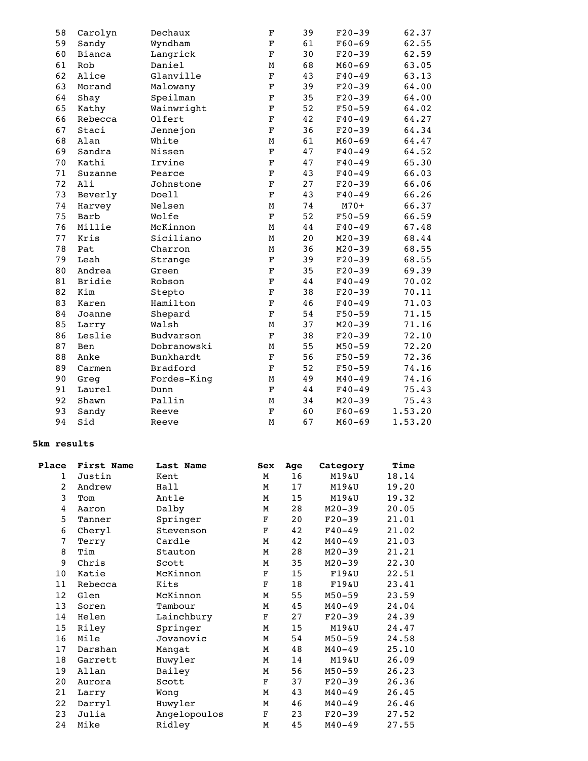| 58 | Carolyn       | Dechaux         | $\mathbf F$               | 39     | $F20-39$             | 62.37   |
|----|---------------|-----------------|---------------------------|--------|----------------------|---------|
| 59 | Sandy         | Wyndham         | $\mathbf F$               | 61     | $F60 - 69$           | 62.55   |
| 60 | Bianca        | Langrick        | $\mathbf F$               | 30     | $F20-39$             | 62.59   |
| 61 | Rob           | Daniel          | $\mathbf M$               | 68     | $M60 - 69$           | 63.05   |
| 62 | Alice         | Glanville       | $\mathbf F$               | 43     | $F40 - 49$           | 63.13   |
| 63 | Morand        | Malowany        | $\mathbf F$               | 39     | $F20-39$             | 64.00   |
| 64 | Shay          | Speilman        | $\mathbf F$               | 35     | $F20-39$             | 64.00   |
| 65 | Kathy         | Wainwright      | $\mathbf F$               | 52     | $F50 - 59$           | 64.02   |
| 66 | Rebecca       | Olfert          | $\mathbf F$               | 42     | $F40 - 49$           | 64.27   |
| 67 | Staci         | Jennejon        | $\mathbf F$               | 36     | $F20-39$             | 64.34   |
| 68 | Alan          | White           | $\mathop{\rm M}\nolimits$ | 61     | $M60 - 69$           | 64.47   |
| 69 | Sandra        | Nissen          | $\mathbf F$               | 47     | $F40 - 49$           | 64.52   |
| 70 | Kathi         | Irvine          | $\mathbf F$               | 47     | $F40 - 49$           | 65.30   |
| 71 | Suzanne       | Pearce          | $\mathbf F$               | 43     | $F40 - 49$           | 66.03   |
| 72 | Ali           | Johnstone       | $\mathbf F$               | 27     | $F20-39$             | 66.06   |
| 73 | Beverly       | Doell           | $\mathbf F$               | 43     | $F40 - 49$           | 66.26   |
| 74 | Harvey        | Nelsen          | М                         | 74     | $M70+$               | 66.37   |
| 75 | Barb          | Wolfe           | $\mathbf F$               | 52     | $F50 - 59$           | 66.59   |
| 76 | Millie        | McKinnon        | M                         | 44     | $F40 - 49$           | 67.48   |
| 77 | Kris          | Siciliano       | М                         | 20     | $M20 - 39$           | 68.44   |
| 78 | Pat           | Charron         | М                         | 36     | $M20 - 39$           | 68.55   |
| 79 | Leah          | Strange         | $\mathbf F$               | 39     | $F20-39$             | 68.55   |
| 80 | Andrea        | Green           | $\mathbf F$               | 35     | $F20-39$             | 69.39   |
| 81 | <b>Bridie</b> | Robson          | $\mathbf F$               | 44     | $F40 - 49$           | 70.02   |
| 82 |               | Stepto          | $\mathbf F$               | 38     | $F20-39$             | 70.11   |
| 83 | Karen         | Hamilton        | $\mathbf F$               | 46     | $F40 - 49$           | 71.03   |
| 84 | Joanne        | Shepard         | $\mathbf F$               | 54     | $F50 - 59$           | 71.15   |
| 85 | Larry         | Walsh           | М                         |        | $M20 - 39$           | 71.16   |
| 86 | Leslie        | Budvarson       | $\mathbf F$               |        | $F20-39$             | 72.10   |
|    | Ben           | Dobranowski     | М                         |        | $M50 - 59$           | 72.20   |
| 88 | Anke          | Bunkhardt       | $\mathbf F$               |        | $F50 - 59$           | 72.36   |
| 89 | Carmen        | <b>Bradford</b> | $\mathbf F$               | 52     | $F50 - 59$           | 74.16   |
| 90 | Greg          | Fordes-King     | М                         | 49     | $M40 - 49$           | 74.16   |
| 91 | Laurel        | Dunn            | $\mathbf F$               | $4\,4$ | $F40 - 49$           | 75.43   |
| 92 | Shawn         | Pallin          | М                         | 34     | $M20 - 39$           | 75.43   |
| 93 | Sandy         | Reeve           | $\mathbf F$               | 60     | $F60 - 69$           | 1.53.20 |
| 94 | Sid           | Reeve           | M                         | 67     | $M60 - 69$           | 1.53.20 |
|    | 87            | Kim             |                           |        | 37<br>38<br>55<br>56 |         |

## **5km results**

| Place             | First Name | Last Name    | Sex         | Age | Category   | Time  |
|-------------------|------------|--------------|-------------|-----|------------|-------|
| 1                 | Justin     | Kent         | М           | 16  | M19&U      | 18.14 |
| 2                 | Andrew     | Hall         | М           | 17  | M19&U      | 19.20 |
| 3                 | Tom        | Antle        | М           | 15  | M19&U      | 19.32 |
| 4                 | Aaron      | Dalby        | М           | 28  | $M20 - 39$ | 20.05 |
| 5                 | Tanner     | Springer     | $\mathbf F$ | 20  | $F20-39$   | 21.01 |
| 6                 | Cheryl     | Stevenson    | $\mathbf F$ | 42  | $F40 - 49$ | 21.02 |
| 7                 | Terry      | Cardle       | М           | 42  | $M40 - 49$ | 21.03 |
| 8                 | Tim        | Stauton      | М           | 28  | $M20 - 39$ | 21.21 |
| 9                 | Chris      | Scott        | М           | 35  | $M20 - 39$ | 22.30 |
| 10                | Katie      | McKinnon     | F           | 15  | $F19\&U$   | 22.51 |
| 11                | Rebecca    | Kits         | $\mathbf F$ | 18  | $F19\&U$   | 23.41 |
| $12 \overline{ }$ | Glen       | McKinnon     | М           | 55  | $M50 - 59$ | 23.59 |
| 13                | Soren      | Tambour      | М           | 45  | $M40 - 49$ | 24.04 |
| 14                | Helen      | Lainchbury   | $\mathbf F$ | 27  | $F20 - 39$ | 24.39 |
| 15                | Riley      | Springer     | М           | 15  | M19&U      | 24.47 |
| 16                | Mile       | Jovanovic    | М           | 54  | $M50 - 59$ | 24.58 |
| 17                | Darshan    | Mangat       | М           | 48  | $M40 - 49$ | 25.10 |
| 18                | Garrett    | Huwyler      | М           | 14  | M19&U      | 26.09 |
| 19                | Allan      | Bailey       | М           | 56  | $M50 - 59$ | 26.23 |
| 20                | Aurora     | Scott        | $\mathbf F$ | 37  | $F20-39$   | 26.36 |
| 21                | Larry      | Wong         | М           | 43  | $M40 - 49$ | 26.45 |
| 22                | Darryl     | Huwyler      | м           | 46  | $M40 - 49$ | 26.46 |
| 23                | Julia      | Angelopoulos | $\mathbf F$ | 23  | $F20 - 39$ | 27.52 |
| 24                | Mike       | Ridley       | М           | 45  | $M40 - 49$ | 27.55 |